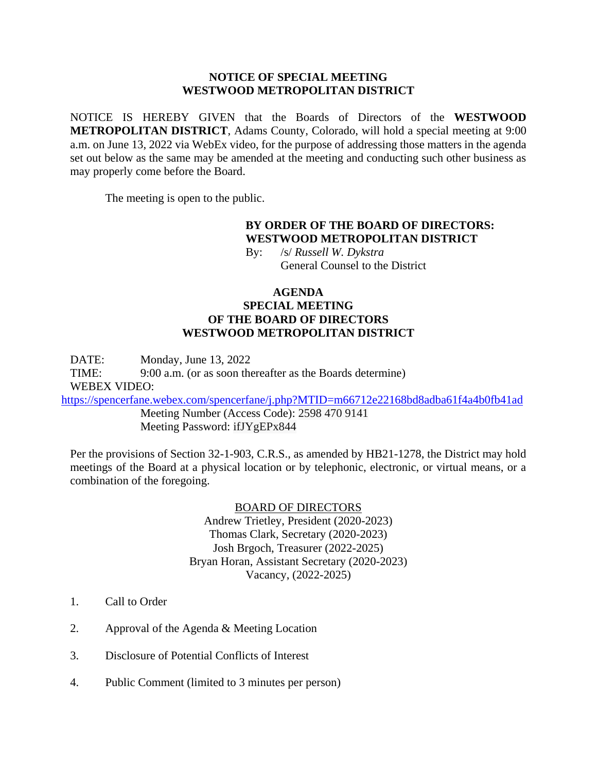## **NOTICE OF SPECIAL MEETING WESTWOOD METROPOLITAN DISTRICT**

NOTICE IS HEREBY GIVEN that the Boards of Directors of the **WESTWOOD METROPOLITAN DISTRICT, Adams County, Colorado, will hold a special meeting at 9:00** a.m. on June 13, 2022 via WebEx video, for the purpose of addressing those matters in the agenda set out below as the same may be amended at the meeting and conducting such other business as may properly come before the Board.

The meeting is open to the public.

## **BY ORDER OF THE BOARD OF DIRECTORS: WESTWOOD METROPOLITAN DISTRICT**

By: /s/ *Russell W. Dykstra* General Counsel to the District

## **AGENDA SPECIAL MEETING OF THE BOARD OF DIRECTORS WESTWOOD METROPOLITAN DISTRICT**

DATE: Monday, June 13, 2022 TIME: 9:00 a.m. (or as soon thereafter as the Boards determine) WEBEX VIDEO: <https://spencerfane.webex.com/spencerfane/j.php?MTID=m66712e22168bd8adba61f4a4b0fb41ad> Meeting Number (Access Code): 2598 470 9141 Meeting Password: ifJYgEPx844

Per the provisions of Section 32-1-903, C.R.S., as amended by HB21-1278, the District may hold meetings of the Board at a physical location or by telephonic, electronic, or virtual means, or a combination of the foregoing.

> BOARD OF DIRECTORS Andrew Trietley, President (2020-2023) Thomas Clark, Secretary (2020-2023) Josh Brgoch, Treasurer (2022-2025) Bryan Horan, Assistant Secretary (2020-2023) Vacancy, (2022-2025)

- 1. Call to Order
- 2. Approval of the Agenda & Meeting Location
- 3. Disclosure of Potential Conflicts of Interest
- 4. Public Comment (limited to 3 minutes per person)